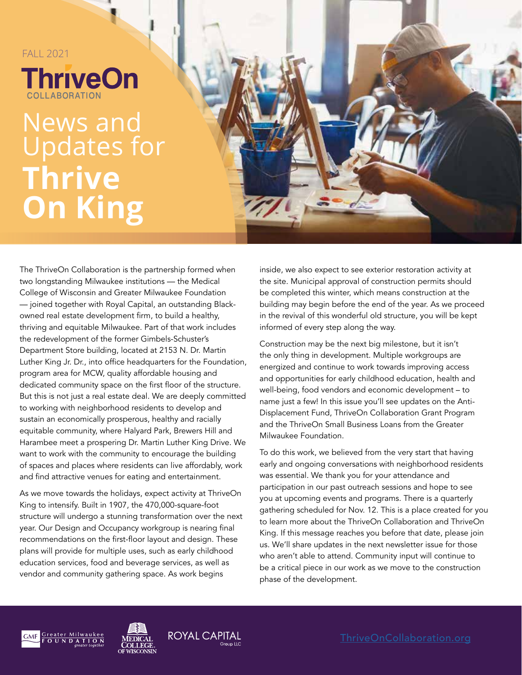#### FALL 2021

**ThriveOn** 

# News and Updates for **Thrive On King**



The ThriveOn Collaboration is the partnership formed when two longstanding Milwaukee institutions — the Medical College of Wisconsin and Greater Milwaukee Foundation — joined together with Royal Capital, an outstanding Blackowned real estate development firm, to build a healthy, thriving and equitable Milwaukee. Part of that work includes the redevelopment of the former Gimbels-Schuster's Department Store building, located at 2153 N. Dr. Martin Luther King Jr. Dr., into office headquarters for the Foundation, program area for MCW, quality affordable housing and dedicated community space on the first floor of the structure. But this is not just a real estate deal. We are deeply committed to working with neighborhood residents to develop and sustain an economically prosperous, healthy and racially equitable community, where Halyard Park, Brewers Hill and Harambee meet a prospering Dr. Martin Luther King Drive. We want to work with the community to encourage the building of spaces and places where residents can live affordably, work and find attractive venues for eating and entertainment.

As we move towards the holidays, expect activity at ThriveOn King to intensify. Built in 1907, the 470,000-square-foot structure will undergo a stunning transformation over the next year. Our Design and Occupancy workgroup is nearing final recommendations on the first-floor layout and design. These plans will provide for multiple uses, such as early childhood education services, food and beverage services, as well as vendor and community gathering space. As work begins

inside, we also expect to see exterior restoration activity at the site. Municipal approval of construction permits should be completed this winter, which means construction at the building may begin before the end of the year. As we proceed in the revival of this wonderful old structure, you will be kept informed of every step along the way.

Construction may be the next big milestone, but it isn't the only thing in development. Multiple workgroups are energized and continue to work towards improving access and opportunities for early childhood education, health and well-being, food vendors and economic development – to name just a few! In this issue you'll see updates on the Anti-Displacement Fund, ThriveOn Collaboration Grant Program and the ThriveOn Small Business Loans from the Greater Milwaukee Foundation.

To do this work, we believed from the very start that having early and ongoing conversations with neighborhood residents was essential. We thank you for your attendance and participation in our past outreach sessions and hope to see you at upcoming events and programs. There is a quarterly gathering scheduled for Nov. 12. This is a place created for you to learn more about the ThriveOn Collaboration and ThriveOn King. If this message reaches you before that date, please join us. We'll share updates in the next newsletter issue for those who aren't able to attend. Community input will continue to be a critical piece in our work as we move to the construction phase of the development.







[ThriveOnCollaboration.org](https://thriveoncollaboration.org/)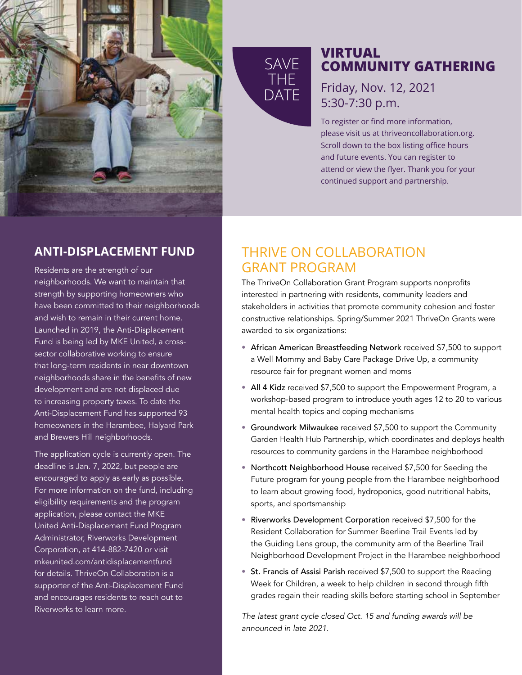

# **SAVE** THE DATE

### **VIRTUAL COMMUNITY GATHERING**

Friday, Nov. 12, 2021 5:30-7:30 p.m.

To register or find more information, please visit us at thriveoncollaboration.org. Scroll down to the box listing office hours and future events. You can register to attend or view the flyer. Thank you for your continued support and partnership.

### **ANTI-DISPLACEMENT FUND**

Residents are the strength of our neighborhoods. We want to maintain that strength by supporting homeowners who have been committed to their neighborhoods and wish to remain in their current home. Launched in 2019, the Anti-Displacement Fund is being led by MKE United, a crosssector collaborative working to ensure that long-term residents in near downtown neighborhoods share in the benefits of new development and are not displaced due to increasing property taxes. To date the Anti-Displacement Fund has supported 93 homeowners in the Harambee, Halyard Park and Brewers Hill neighborhoods.

The application cycle is currently open. The deadline is Jan. 7, 2022, but people are encouraged to apply as early as possible. For more information on the fund, including eligibility requirements and the program application, please contact the MKE United Anti-Displacement Fund Program Administrator, Riverworks Development Corporation, at 414-882-7420 or visit [mkeunited.com/antidisplacementfund](https://www.mkeunited.com/antidisplacementfund)  for details. ThriveOn Collaboration is a supporter of the Anti-Displacement Fund and encourages residents to reach out to Riverworks to learn more.

### THRIVE ON COLLABORATION GRANT PROGRAM

The ThriveOn Collaboration Grant Program supports nonprofits interested in partnering with residents, community leaders and stakeholders in activities that promote community cohesion and foster constructive relationships. Spring/Summer 2021 ThriveOn Grants were awarded to six organizations:

- African American Breastfeeding Network received \$7,500 to support a Well Mommy and Baby Care Package Drive Up, a community resource fair for pregnant women and moms
- All 4 Kidz received \$7,500 to support the Empowerment Program, a workshop-based program to introduce youth ages 12 to 20 to various mental health topics and coping mechanisms
- Groundwork Milwaukee received \$7,500 to support the Community Garden Health Hub Partnership, which coordinates and deploys health resources to community gardens in the Harambee neighborhood
- Northcott Neighborhood House received \$7,500 for Seeding the Future program for young people from the Harambee neighborhood to learn about growing food, hydroponics, good nutritional habits, sports, and sportsmanship
- Riverworks Development Corporation received \$7,500 for the Resident Collaboration for Summer Beerline Trail Events led by the Guiding Lens group, the community arm of the Beerline Trail Neighborhood Development Project in the Harambee neighborhood
- St. Francis of Assisi Parish received \$7,500 to support the Reading Week for Children, a week to help children in second through fifth grades regain their reading skills before starting school in September

*The latest grant cycle closed Oct. 15 and funding awards will be announced in late 2021.*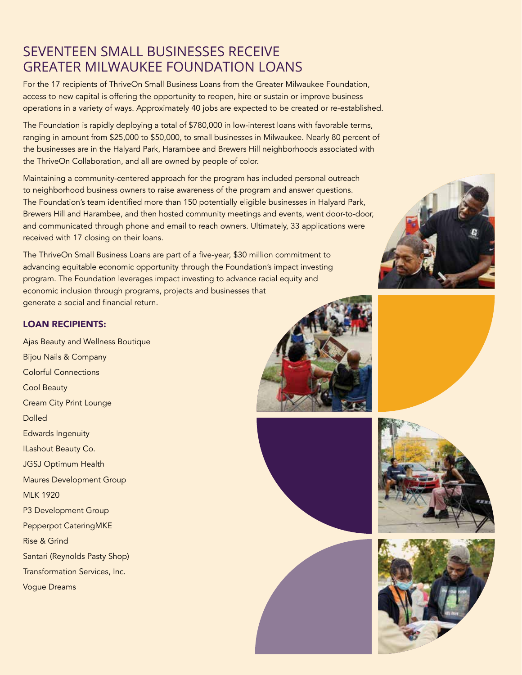## SEVENTEEN SMALL BUSINESSES RECEIVE GREATER MILWAUKEE FOUNDATION LOANS

For the 17 recipients of ThriveOn Small Business Loans from the Greater Milwaukee Foundation, access to new capital is offering the opportunity to reopen, hire or sustain or improve business operations in a variety of ways. Approximately 40 jobs are expected to be created or re-established.

The Foundation is rapidly deploying a total of \$780,000 in low-interest loans with favorable terms, ranging in amount from \$25,000 to \$50,000, to small businesses in Milwaukee. Nearly 80 percent of the businesses are in the Halyard Park, Harambee and Brewers Hill neighborhoods associated with the ThriveOn Collaboration, and all are owned by people of color.

Maintaining a community-centered approach for the program has included personal outreach to neighborhood business owners to raise awareness of the program and answer questions. The Foundation's team identified more than 150 potentially eligible businesses in Halyard Park, Brewers Hill and Harambee, and then hosted community meetings and events, went door-to-door, and communicated through phone and email to reach owners. Ultimately, 33 applications were received with 17 closing on their loans.

The ThriveOn Small Business Loans are part of a five-year, \$30 million commitment to advancing equitable economic opportunity through the Foundation's impact investing program. The Foundation leverages impact investing to advance racial equity and economic inclusion through programs, projects and businesses that generate a social and financial return.

#### LOAN RECIPIENTS:

Ajas Beauty and Wellness Boutique Bijou Nails & Company Colorful Connections Cool Beauty Cream City Print Lounge Dolled Edwards Ingenuity ILashout Beauty Co. JGSJ Optimum Health Maures Development Group MLK 1920 P3 Development Group Pepperpot CateringMKE Rise & Grind Santari (Reynolds Pasty Shop) Transformation Services, Inc.